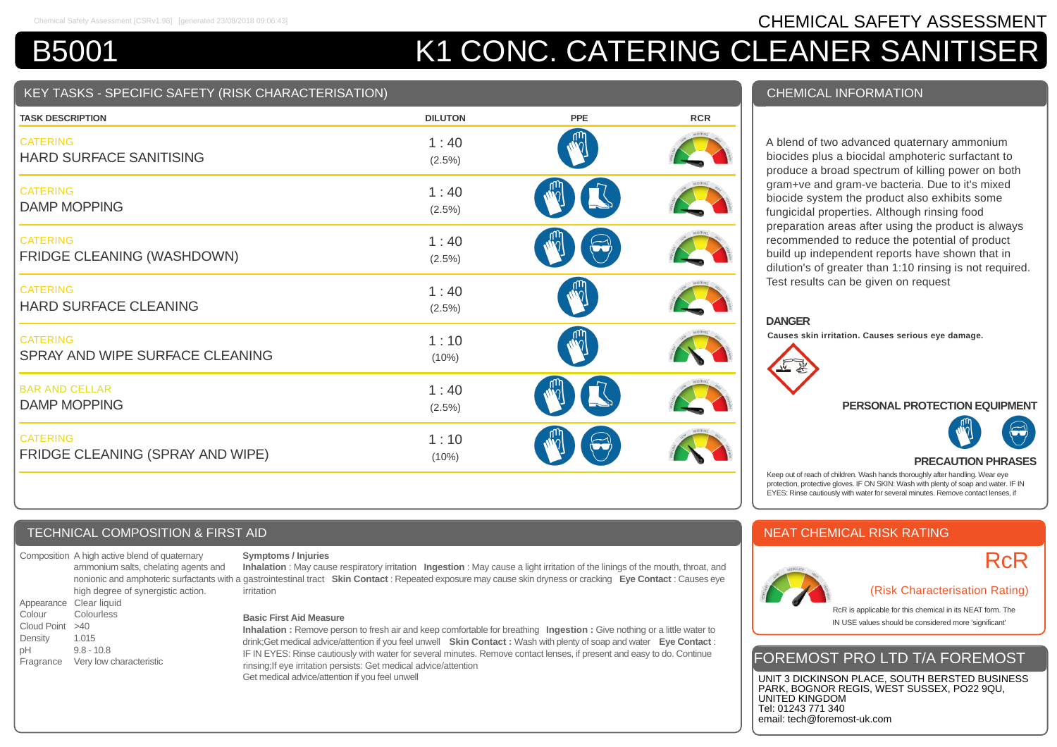## Chemical Safety Assessment [CSRv1.98] [generated 23/08/2018 09:06:43] **CHEMICAL SAFETY ASSESSMENT**

# B5001 K1 CONC. CATERING CLEANER SANITISER

#### KEY TASKS - SPECIFIC SAFETY (RISK CHARACTERISATION)

| <b>TASK DESCRIPTION</b>                             | <b>DILUTON</b>    | <b>PPE</b> | <b>RCR</b> |
|-----------------------------------------------------|-------------------|------------|------------|
| <b>CATERING</b><br><b>HARD SURFACE SANITISING</b>   | 1:40<br>(2.5%)    |            |            |
| <b>CATERING</b><br><b>DAMP MOPPING</b>              | 1:40<br>$(2.5\%)$ |            |            |
| <b>CATERING</b><br>FRIDGE CLEANING (WASHDOWN)       | 1:40<br>(2.5%)    |            |            |
| <b>CATERING</b><br><b>HARD SURFACE CLEANING</b>     | 1:40<br>(2.5%)    |            |            |
| <b>CATERING</b><br>SPRAY AND WIPE SURFACE CLEANING  | 1:10<br>(10%)     |            |            |
| <b>BAR AND CELLAR</b><br><b>DAMP MOPPING</b>        | 1:40<br>$(2.5\%)$ |            |            |
| <b>CATERING</b><br>FRIDGE CLEANING (SPRAY AND WIPE) | 1:10<br>(10%)     |            |            |

#### TECHNICAL COMPOSITION & FIRST AID

Composition A high active blend of quaternary ammonium salts, chelating agents and nonionic and amphoteric surfactants with high degree of synergistic action. Appearance Clear liquid Colour Colourless Cloud Point >40 Density 1.015 pH 9.8 - 10.8 Fragrance Very low characteristic

#### **Symptoms / Injuries**

**Inhalation** : May cause respiratory irritation **Ingestion** : May cause a light irritation of the linings of the mouth, throat, and gastrointestinal tract **Skin Contact** : Repeated exposure may cause skin dryness or cracking **Eye Contact** : Causes eye irritation

#### **Basic First Aid Measure**

**Inhalation :** Remove person to fresh air and keep comfortable for breathing **Ingestion :** Give nothing or a little water to drink;Get medical advice/attention if you feel unwell **Skin Contact :** Wash with plenty of soap and water **Eye Contact** : IF IN EYES: Rinse cautiously with water for several minutes. Remove contact lenses, if present and easy to do. Continue rinsing;If eye irritation persists: Get medical advice/attention Get medical advice/attention if you feel unwell

#### CHEMICAL INFORMATION

A blend of two advanced quaternary ammonium biocides plus a biocidal amphoteric surfactant to produce a broad spectrum of killing power on both gram+ve and gram-ve bacteria. Due to it's mixed biocide system the product also exhibits some fungicidal properties. Although rinsing food preparation areas after using the product is always recommended to reduce the potential of product build up independent reports have shown that in dilution's of greater than 1:10 rinsing is not required. Test results can be given on request

#### **DANGER**

**Causes skin irritation. Causes serious eye damage.**



#### **PERSONAL PROTECTION EQUIPMENT**



#### **PRECAUTION PHRASES**

Keep out of reach of children. Wash hands thoroughly after handling. Wear eye protection, protective gloves. IF ON SKIN: Wash with plenty of soap and water. IF IN EYES: Rinse cautiously with water for several minutes. Remove contact lenses, if

#### NEAT CHEMICAL RISK RATING



# **RcR**

#### (Risk Characterisation Rating)

RcR is applicable for this chemical in its NEAT form. The IN USE values should be considered more 'significant'

### FOREMOST PRO LTD T/A FOREMOST

UNIT 3 DICKINSON PLACE, SOUTH BERSTED BUSINESS PARK, BOGNOR REGIS, WEST SUSSEX, PO22 9QU, UNITED KINGDOM Tel: 01243 771 340 email: tech@foremost-uk.com